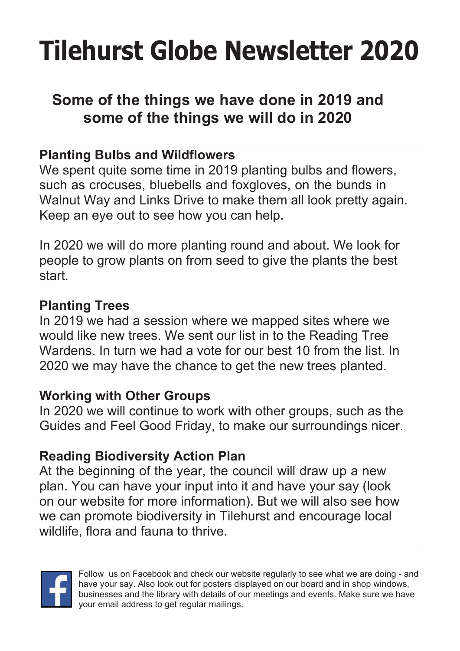# **Tilehurst Globe Newsletter 2020**

# **Some of the things we have done in 2019 and some of the things we will do in 2020**

### **Planting Bulbs and Wildflowers**

We spent quite some time in 2019 planting bulbs and flowers, such as crocuses, bluebells and foxgloves, on the bunds in Walnut Way and Links Drive to make them all look pretty again. Keep an eye out to see how you can help.

In 2020 we will do more planting round and about. We look for people to grow plants on from seed to give the plants the best start.

### **Planting Trees**

In 2019 we had a session where we mapped sites where we would like new trees. We sent our list in to the Reading Tree Wardens. In turn we had a vote for our best 10 from the list. In 2020 we may have the chance to get the new trees planted.

### **Working with Other Groups**

In 2020 we will continue to work with other groups, such as the Guides and Feel Good Friday, to make our surroundings nicer.

### **Reading Biodiversity Action Plan**

At the beginning of the year, the council will draw up a new plan. You can have your input into it and have your say (look on our website for more information). But we will also see how we can promote biodiversity in Tilehurst and encourage local wildlife, flora and fauna to thrive.



Follow us on Facebook and check our website regularly to see what we are doing - and have your say. Also look out for posters displayed on our board and in shop windows, businesses and the library with details of our meetings and events. Make sure we have your email address to get regular mailings.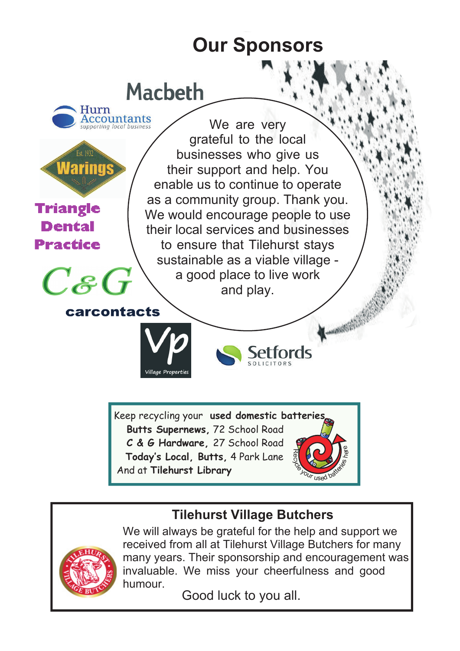# **Our Sponsors**



### **Tilehurst Village Butchers**



We will always be grateful for the help and support we received from all at Tilehurst Village Butchers for many many years. Their sponsorship and encouragement was invaluable. We miss your cheerfulness and good humour.

Good luck to you all.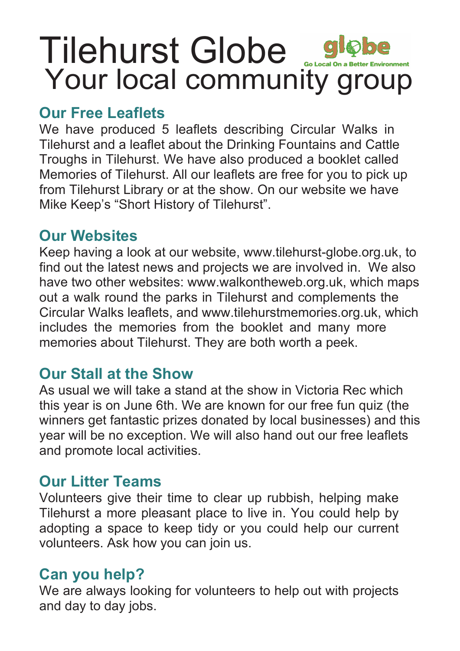# Tilehurst Globe globe Your local community group

# **Our Free Leaflets**

We have produced 5 leaflets describing Circular Walks in Tilehurst and a leaflet about the Drinking Fountains and Cattle Troughs in Tilehurst. We have also produced a booklet called Memories of Tilehurst. All our leaflets are free for you to pick up from Tilehurst Library or at the show. On our website we have Mike Keep's "Short History of Tilehurst".

# **Our Websites**

Keep having a look at our website, www.tilehurst-globe.org.uk, to find out the latest news and projects we are involved in. We also have two other websites: www.walkontheweb.org.uk, which maps out a walk round the parks in Tilehurst and complements the Circular Walks leaflets, and www.tilehurstmemories.org.uk, which includes the memories from the booklet and many more memories about Tilehurst. They are both worth a peek.

## **Our Stall at the Show**

As usual we will take a stand at the show in Victoria Rec which this year is on June 6th. We are known for our free fun quiz (the winners get fantastic prizes donated by local businesses) and this year will be no exception. We will also hand out our free leaflets and promote local activities.

# **Our Litter Teams**

Volunteers give their time to clear up rubbish, helping make Tilehurst a more pleasant place to live in. You could help by adopting a space to keep tidy or you could help our current volunteers. Ask how you can join us.

# **Can you help?**

We are always looking for volunteers to help out with projects and day to day jobs.